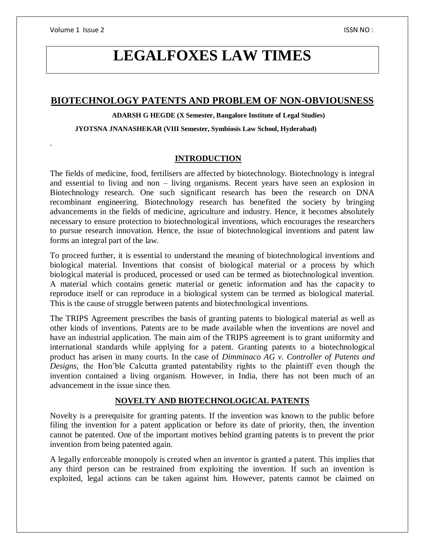.

# **LEGALFOXES LAW TIMES**

# **BIOTECHNOLOGY PATENTS AND PROBLEM OF NON-OBVIOUSNESS**

#### **ADARSH G HEGDE (X Semester, Bangalore Institute of Legal Studies)**

#### **JYOTSNA JNANASHEKAR (VIII Semester, Symbiosis Law School, Hyderabad)**

## **INTRODUCTION**

The fields of medicine, food, fertilisers are affected by biotechnology. Biotechnology is integral and essential to living and non – living organisms. Recent years have seen an explosion in Biotechnology research. One such significant research has been the research on DNA recombinant engineering. Biotechnology research has benefited the society by bringing advancements in the fields of medicine, agriculture and industry. Hence, it becomes absolutely necessary to ensure protection to biotechnological inventions, which encourages the researchers to pursue research innovation. Hence, the issue of biotechnological inventions and patent law forms an integral part of the law.

To proceed further, it is essential to understand the meaning of biotechnological inventions and biological material. Inventions that consist of biological material or a process by which biological material is produced, processed or used can be termed as biotechnological invention. A material which contains genetic material or genetic information and has the capacity to reproduce itself or can reproduce in a biological system can be termed as biological material. This is the cause of struggle between patents and biotechnological inventions.

The TRIPS Agreement prescribes the basis of granting patents to biological material as well as other kinds of inventions. Patents are to be made available when the inventions are novel and have an industrial application. The main aim of the TRIPS agreement is to grant uniformity and international standards while applying for a patent. Granting patents to a biotechnological product has arisen in many courts. In the case of *Dimminaco AG v. Controller of Patents and Designs,* the Hon'ble Calcutta granted patentability rights to the plaintiff even though the invention contained a living organism. However, in India, there has not been much of an advancement in the issue since then.

## **NOVELTY AND BIOTECHNOLOGICAL PATENTS**

Novelty is a prerequisite for granting patents. If the invention was known to the public before filing the invention for a patent application or before its date of priority, then, the invention cannot be patented. One of the important motives behind granting patents is to prevent the prior invention from being patented again.

A legally enforceable monopoly is created when an inventor is granted a patent. This implies that any third person can be restrained from exploiting the invention. If such an invention is exploited, legal actions can be taken against him. However, patents cannot be claimed on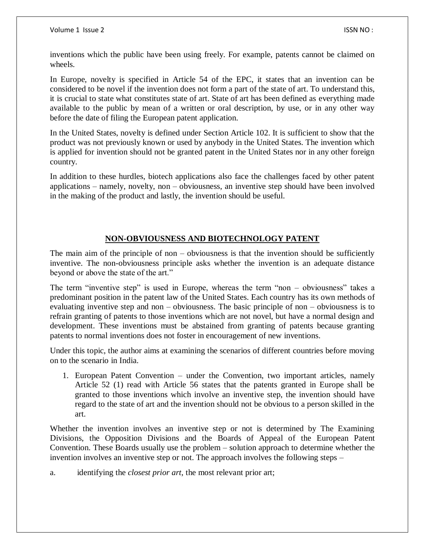inventions which the public have been using freely. For example, patents cannot be claimed on wheels.

In Europe, novelty is specified in Article 54 of the EPC, it states that an invention can be considered to be novel if the invention does not form a part of the state of art. To understand this, it is crucial to state what constitutes state of art. State of art has been defined as everything made available to the public by mean of a written or oral description, by use, or in any other way before the date of filing the European patent application.

In the United States, novelty is defined under Section Article 102. It is sufficient to show that the product was not previously known or used by anybody in the United States. The invention which is applied for invention should not be granted patent in the United States nor in any other foreign country.

In addition to these hurdles, biotech applications also face the challenges faced by other patent applications – namely, novelty, non – obviousness, an inventive step should have been involved in the making of the product and lastly, the invention should be useful.

# **NON-OBVIOUSNESS AND BIOTECHNOLOGY PATENT**

The main aim of the principle of non – obviousness is that the invention should be sufficiently inventive. The non-obviousness principle asks whether the invention is an adequate distance beyond or above the state of the art."

The term "inventive step" is used in Europe, whereas the term "non – obviousness" takes a predominant position in the patent law of the United States. Each country has its own methods of evaluating inventive step and non – obviousness. The basic principle of non – obviousness is to refrain granting of patents to those inventions which are not novel, but have a normal design and development. These inventions must be abstained from granting of patents because granting patents to normal inventions does not foster in encouragement of new inventions.

Under this topic, the author aims at examining the scenarios of different countries before moving on to the scenario in India.

1. European Patent Convention – under the Convention, two important articles, namely Article 52 (1) read with Article 56 states that the patents granted in Europe shall be granted to those inventions which involve an inventive step, the invention should have regard to the state of art and the invention should not be obvious to a person skilled in the art.

Whether the invention involves an inventive step or not is determined by The Examining Divisions, the Opposition Divisions and the Boards of Appeal of the European Patent Convention. These Boards usually use the problem – solution approach to determine whether the invention involves an inventive step or not. The approach involves the following steps –

a. identifying the *closest prior art*, the most relevant prior art;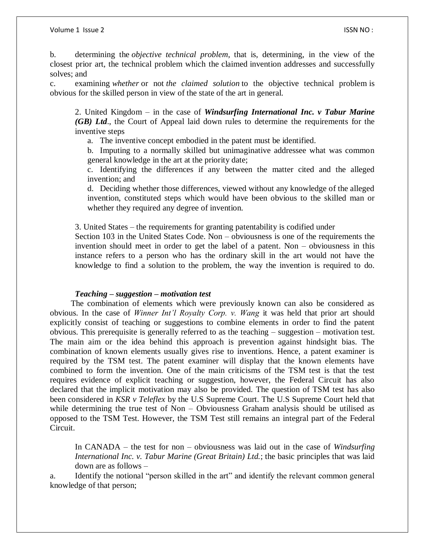b. determining the *objective technical problem*, that is, determining, in the view of the closest prior art, the technical problem which the claimed invention addresses and successfully solves; and

c. examining *whether* or not *the claimed solution* to the objective technical problem is obvious for the skilled person in view of the state of the art in general.

2. United Kingdom – in the case of *Windsurfing International Inc. v Tabur Marine (GB) Ltd*., the Court of Appeal laid down rules to determine the requirements for the inventive steps

a. The inventive concept embodied in the patent must be identified.

b. Imputing to a normally skilled but unimaginative addressee what was common general knowledge in the art at the priority date;

c. Identifying the differences if any between the matter cited and the alleged invention; and

d. Deciding whether those differences, viewed without any knowledge of the alleged invention, constituted steps which would have been obvious to the skilled man or whether they required any degree of invention.

3. United States – the requirements for granting patentability is codified under

Section 103 in the United States Code. Non – obviousness is one of the requirements the invention should meet in order to get the label of a patent. Non – obviousness in this instance refers to a person who has the ordinary skill in the art would not have the knowledge to find a solution to the problem, the way the invention is required to do.

#### *Teaching – suggestion – motivation test*

 The combination of elements which were previously known can also be considered as obvious. In the case of *Winner Int'l Royalty Corp. v. Wang* it was held that prior art should explicitly consist of teaching or suggestions to combine elements in order to find the patent obvious. This prerequisite is generally referred to as the teaching – suggestion – motivation test. The main aim or the idea behind this approach is prevention against hindsight bias. The combination of known elements usually gives rise to inventions. Hence, a patent examiner is required by the TSM test. The patent examiner will display that the known elements have combined to form the invention. One of the main criticisms of the TSM test is that the test requires evidence of explicit teaching or suggestion, however, the Federal Circuit has also declared that the implicit motivation may also be provided. The question of TSM test has also been considered in *KSR v Teleflex* by the U.S Supreme Court. The U.S Supreme Court held that while determining the true test of Non – Obviousness Graham analysis should be utilised as opposed to the TSM Test. However, the TSM Test still remains an integral part of the Federal Circuit.

In CANADA – the test for non – obviousness was laid out in the case of *Windsurfing International Inc. v. Tabur Marine (Great Britain) Ltd.*; the basic principles that was laid down are as follows –

a. Identify the notional "person skilled in the art" and identify the relevant common general knowledge of that person;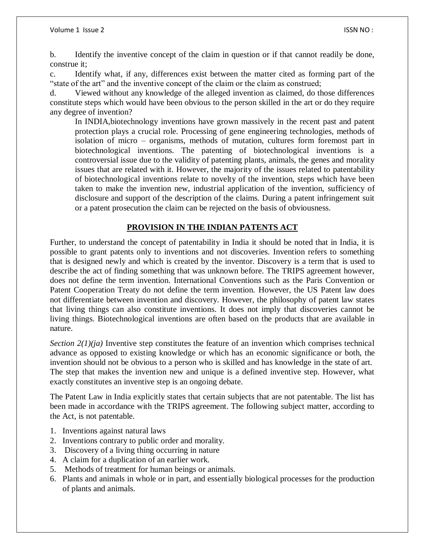b. Identify the inventive concept of the claim in question or if that cannot readily be done, construe it;

c. Identify what, if any, differences exist between the matter cited as forming part of the "state of the art" and the inventive concept of the claim or the claim as construed;

d. Viewed without any knowledge of the alleged invention as claimed, do those differences constitute steps which would have been obvious to the person skilled in the art or do they require any degree of invention?

In INDIA,biotechnology inventions have grown massively in the recent past and patent protection plays a crucial role. Processing of gene engineering technologies, methods of isolation of micro – organisms, methods of mutation, cultures form foremost part in biotechnological inventions. The patenting of biotechnological inventions is a controversial issue due to the validity of patenting plants, animals, the genes and morality issues that are related with it. However, the majority of the issues related to patentability of biotechnological inventions relate to novelty of the invention, steps which have been taken to make the invention new, industrial application of the invention, sufficiency of disclosure and support of the description of the claims. During a patent infringement suit or a patent prosecution the claim can be rejected on the basis of obviousness.

## **PROVISION IN THE INDIAN PATENTS ACT**

Further, to understand the concept of patentability in India it should be noted that in India, it is possible to grant patents only to inventions and not discoveries. Invention refers to something that is designed newly and which is created by the inventor. Discovery is a term that is used to describe the act of finding something that was unknown before. The TRIPS agreement however, does not define the term invention. International Conventions such as the Paris Convention or Patent Cooperation Treaty do not define the term invention. However, the US Patent law does not differentiate between invention and discovery. However, the philosophy of patent law states that living things can also constitute inventions. It does not imply that discoveries cannot be living things. Biotechnological inventions are often based on the products that are available in nature.

*Section 2(1)(ja)* Inventive step constitutes the feature of an invention which comprises technical advance as opposed to existing knowledge or which has an economic significance or both, the invention should not be obvious to a person who is skilled and has knowledge in the state of art. The step that makes the invention new and unique is a defined inventive step. However, what exactly constitutes an inventive step is an ongoing debate.

The Patent Law in India explicitly states that certain subjects that are not patentable. The list has been made in accordance with the TRIPS agreement. The following subject matter, according to the Act, is not patentable.

- 1. Inventions against natural laws
- 2. Inventions contrary to public order and morality.
- 3. Discovery of a living thing occurring in nature
- 4. A claim for a duplication of an earlier work.
- 5. Methods of treatment for human beings or animals.
- 6. Plants and animals in whole or in part, and essentially biological processes for the production of plants and animals.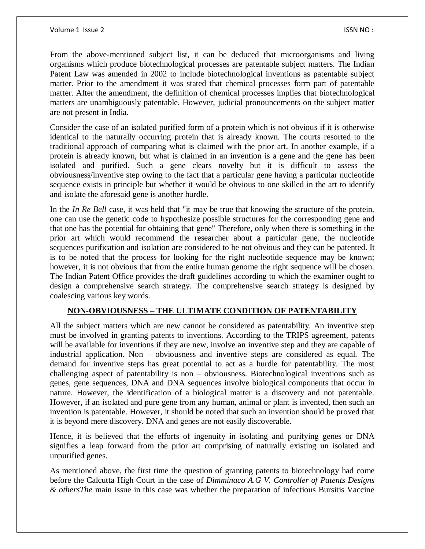From the above-mentioned subject list, it can be deduced that microorganisms and living organisms which produce biotechnological processes are patentable subject matters. The Indian Patent Law was amended in 2002 to include biotechnological inventions as patentable subject matter. Prior to the amendment it was stated that chemical processes form part of patentable matter. After the amendment, the definition of chemical processes implies that biotechnological matters are unambiguously patentable. However, judicial pronouncements on the subject matter are not present in India.

Consider the case of an isolated purified form of a protein which is not obvious if it is otherwise identical to the naturally occurring protein that is already known. The courts resorted to the traditional approach of comparing what is claimed with the prior art. In another example, if a protein is already known, but what is claimed in an invention is a gene and the gene has been isolated and purified. Such a gene clears novelty but it is difficult to assess the obviousness/inventive step owing to the fact that a particular gene having a particular nucleotide sequence exists in principle but whether it would be obvious to one skilled in the art to identify and isolate the aforesaid gene is another hurdle.

In the *In Re Bell* case, it was held that "it may be true that knowing the structure of the protein, one can use the genetic code to hypothesize possible structures for the corresponding gene and that one has the potential for obtaining that gene" Therefore, only when there is something in the prior art which would recommend the researcher about a particular gene, the nucleotide sequences purification and isolation are considered to be not obvious and they can be patented. It is to be noted that the process for looking for the right nucleotide sequence may be known; however, it is not obvious that from the entire human genome the right sequence will be chosen. The Indian Patent Office provides the draft guidelines according to which the examiner ought to design a comprehensive search strategy. The comprehensive search strategy is designed by coalescing various key words.

## **NON-OBVIOUSNESS – THE ULTIMATE CONDITION OF PATENTABILITY**

All the subject matters which are new cannot be considered as patentability. An inventive step must be involved in granting patents to inventions. According to the TRIPS agreement, patents will be available for inventions if they are new, involve an inventive step and they are capable of industrial application. Non – obviousness and inventive steps are considered as equal. The demand for inventive steps has great potential to act as a hurdle for patentability. The most challenging aspect of patentability is non – obviousness. Biotechnological inventions such as genes, gene sequences, DNA and DNA sequences involve biological components that occur in nature. However, the identification of a biological matter is a discovery and not patentable. However, if an isolated and pure gene from any human, animal or plant is invented, then such an invention is patentable. However, it should be noted that such an invention should be proved that it is beyond mere discovery. DNA and genes are not easily discoverable.

Hence, it is believed that the efforts of ingenuity in isolating and purifying genes or DNA signifies a leap forward from the prior art comprising of naturally existing un isolated and unpurified genes.

As mentioned above, the first time the question of granting patents to biotechnology had come before the Calcutta High Court in the case of *Dimminaco A.G V. Controller of Patents Designs & othersThe* main issue in this case was whether the preparation of infectious Bursitis Vaccine